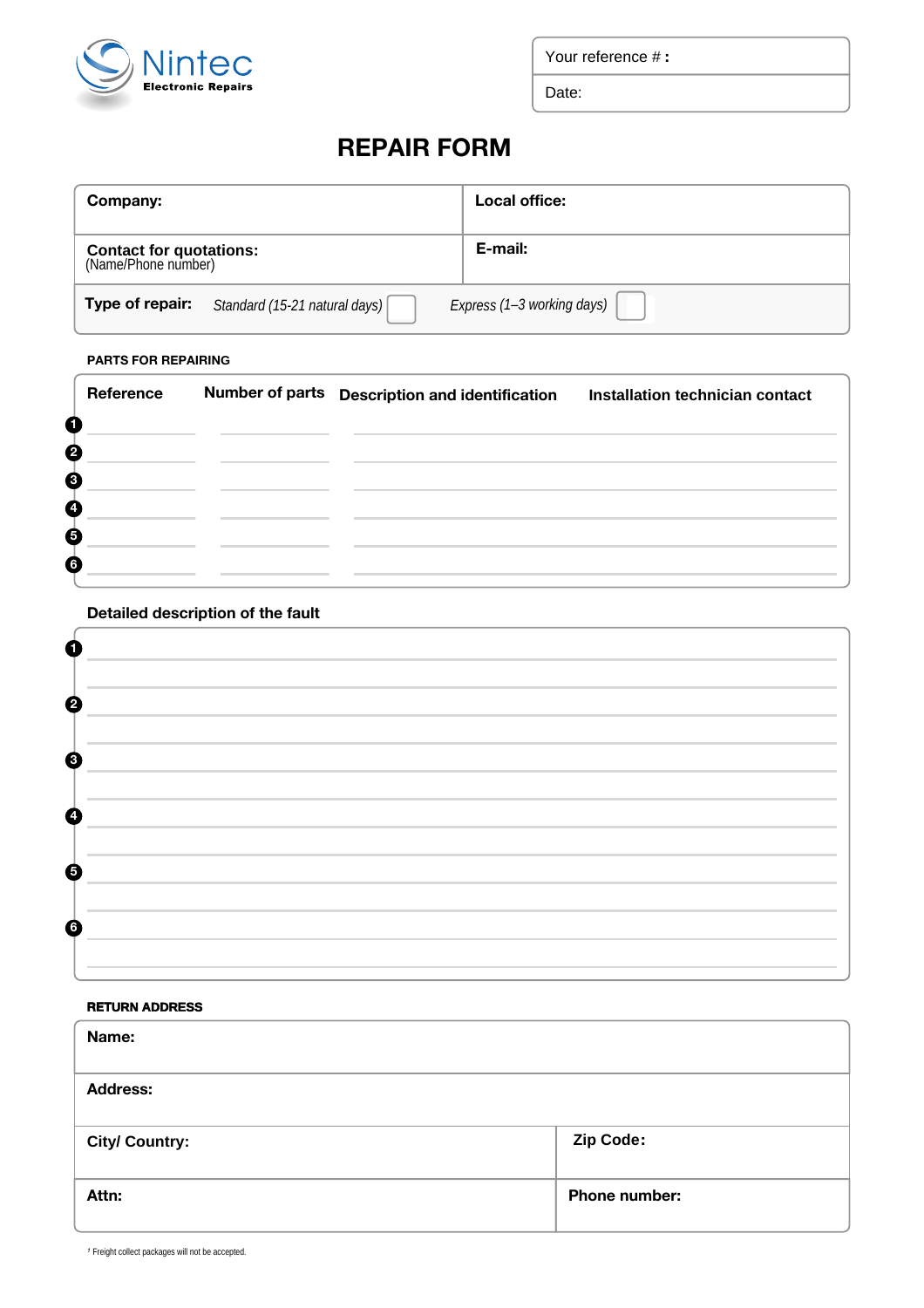

Your reference # **:**

Date:

# **REPAIR FORM**

| Company:                                              |                                                      | Local office:              |  |
|-------------------------------------------------------|------------------------------------------------------|----------------------------|--|
| <b>Contact for quotations:</b><br>(Name/Phone number) |                                                      | E-mail:                    |  |
|                                                       | <b>Type of repair:</b> Standard (15-21 natural days) | Express (1-3 working days) |  |

#### **PARTS FOR REPAIRING**

|   | Reference | Number of parts Description and identification Installation technician contact |  |
|---|-----------|--------------------------------------------------------------------------------|--|
| 6 |           |                                                                                |  |
| ℯ |           |                                                                                |  |
| € |           |                                                                                |  |
| A |           |                                                                                |  |
| 6 |           |                                                                                |  |
| Ġ |           |                                                                                |  |

#### **Detailed description of the fault**

| $\overline{2}$ |  |
|----------------|--|
|                |  |
| $\bullet$      |  |
| 4              |  |
|                |  |
| 6              |  |
|                |  |
| 6              |  |
|                |  |

#### **RETURN ADDRESS**

| Name:                 |                  |  |  |
|-----------------------|------------------|--|--|
| <b>Address:</b>       |                  |  |  |
| <b>City/ Country:</b> | <b>Zip Code:</b> |  |  |
| Attn:                 | Phone number:    |  |  |